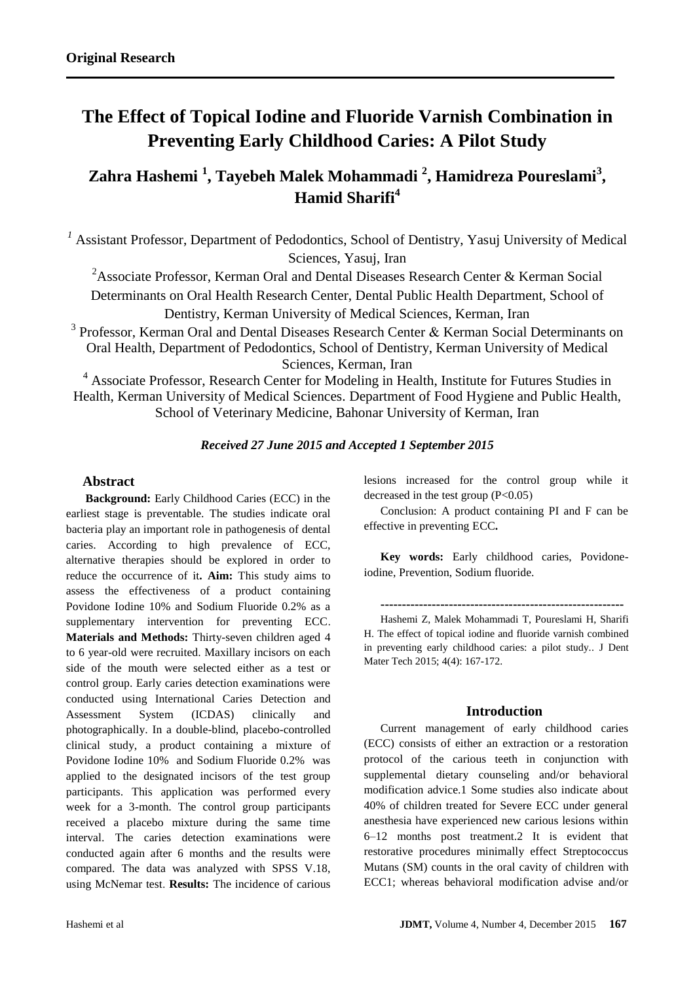# **The Effect of Topical Iodine and Fluoride Varnish Combination in Preventing Early Childhood Caries: A Pilot Study**

**Zahra Hashemi <sup>1</sup> , Tayebeh Malek Mohammadi <sup>2</sup> , Hamidreza Poureslami<sup>3</sup> , Hamid Sharifi<sup>4</sup>**

<sup>1</sup> Assistant Professor, Department of Pedodontics, School of Dentistry, Yasuj University of Medical Sciences, Yasuj, Iran

<sup>2</sup>Associate Professor, Kerman Oral and Dental Diseases Research Center & Kerman Social Determinants on Oral Health Research Center, Dental Public Health Department, School of Dentistry, Kerman University of Medical Sciences, Kerman, Iran

 $3$  Professor, Kerman Oral and Dental Diseases Research Center  $\&$  Kerman Social Determinants on Oral Health, Department of Pedodontics, School of Dentistry, Kerman University of Medical Sciences, Kerman, Iran

<sup>4</sup> Associate Professor, Research Center for Modeling in Health, Institute for Futures Studies in Health, Kerman University of Medical Sciences. Department of Food Hygiene and Public Health, School of Veterinary Medicine, Bahonar University of Kerman, Iran

# *Received 27 June 2015 and Accepted 1 September 2015*

# **Abstract**

**Background:** Early Childhood Caries (ECC) in the earliest stage is preventable. The studies indicate oral bacteria play an important role in pathogenesis of dental caries. According to high prevalence of ECC, alternative therapies should be explored in order to reduce the occurrence of it**. Aim:** This study aims to assess the effectiveness of a product containing Povidone Iodine 10% and Sodium Fluoride 0.2% as a supplementary intervention for preventing ECC. **Materials and Methods:** Thirty-seven children aged 4 to 6 year-old were recruited. Maxillary incisors on each side of the mouth were selected either as a test or control group. Early caries detection examinations were conducted using International Caries Detection and Assessment System (ICDAS) clinically and photographically. In a double-blind, placebo-controlled clinical study, a product containing a mixture of Povidone Iodine 10% and Sodium Fluoride 0.2% was applied to the designated incisors of the test group participants. This application was performed every week for a 3-month. The control group participants received a placebo mixture during the same time interval. The caries detection examinations were conducted again after 6 months and the results were compared. The data was analyzed with SPSS V.18, using McNemar test. **Results:** The incidence of carious

lesions increased for the control group while it decreased in the test group  $(P<0.05)$ 

Conclusion: A product containing PI and F can be effective in preventing ECC**.**

**Key words:** Early childhood caries, Povidoneiodine, Prevention, Sodium fluoride.

**---------------------------------------------------------**

Hashemi Z, Malek Mohammadi T, Poureslami H, Sharifi H. The effect of topical iodine and fluoride varnish combined in preventing early childhood caries: a pilot study.. J Dent Mater Tech 2015; 4(4): 167-172.

#### **Introduction**

Current management of early childhood caries (ECC) consists of either an extraction or a restoration protocol of the carious teeth in conjunction with supplemental dietary counseling and/or behavioral modification advice.1 Some studies also indicate about 40% of children treated for Severe ECC under general anesthesia have experienced new carious lesions within 6–12 months post treatment.2 It is evident that restorative procedures minimally effect Streptococcus Mutans (SM) counts in the oral cavity of children with ECC1; whereas behavioral modification advise and/or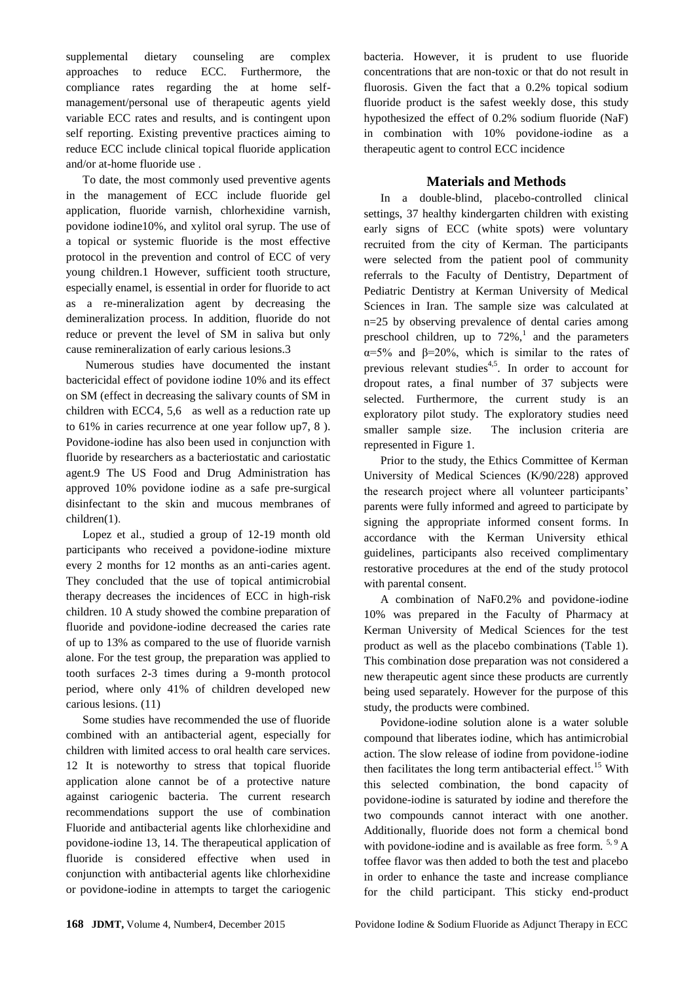supplemental dietary counseling are complex approaches to reduce ECC. Furthermore, the compliance rates regarding the at home selfmanagement/personal use of therapeutic agents yield variable ECC rates and results, and is contingent upon self reporting. Existing preventive practices aiming to reduce ECC include clinical topical fluoride application and/or at-home fluoride use .

To date, the most commonly used preventive agents in the management of ECC include fluoride gel application, fluoride varnish, chlorhexidine varnish, povidone iodine10%, and xylitol oral syrup. The use of a topical or systemic fluoride is the most effective protocol in the prevention and control of ECC of very young children.1 However, sufficient tooth structure, especially enamel, is essential in order for fluoride to act as a re-mineralization agent by decreasing the demineralization process. In addition, fluoride do not reduce or prevent the level of SM in saliva but only cause remineralization of early carious lesions.3

Numerous studies have documented the instant bactericidal effect of povidone iodine 10% and its effect on SM (effect in decreasing the salivary counts of SM in children with ECC4, 5,6 as well as a reduction rate up to 61% in caries recurrence at one year follow up7, 8 ). Povidone-iodine has also been used in conjunction with fluoride by researchers as a bacteriostatic and cariostatic agent.9 The US Food and Drug Administration has approved 10% povidone iodine as a safe pre-surgical disinfectant to the skin and mucous membranes of children(1).

Lopez et al., studied a group of 12-19 month old participants who received a povidone-iodine mixture every 2 months for 12 months as an anti-caries agent. They concluded that the use of topical antimicrobial therapy decreases the incidences of ECC in high-risk children. 10 A study showed the combine preparation of fluoride and povidone-iodine decreased the caries rate of up to 13% as compared to the use of fluoride varnish alone. For the test group, the preparation was applied to tooth surfaces 2-3 times during a 9-month protocol period, where only 41% of children developed new carious lesions. (11)

Some studies have recommended the use of fluoride combined with an antibacterial agent, especially for children with limited access to oral health care services. 12 It is noteworthy to stress that topical fluoride application alone cannot be of a protective nature against cariogenic bacteria. The current research recommendations support the use of combination Fluoride and antibacterial agents like chlorhexidine and povidone-iodine 13, 14. The therapeutical application of fluoride is considered effective when used in conjunction with antibacterial agents like chlorhexidine or povidone-iodine in attempts to target the cariogenic bacteria. However, it is prudent to use fluoride concentrations that are non-toxic or that do not result in fluorosis. Given the fact that a 0.2% topical sodium fluoride product is the safest weekly dose, this study hypothesized the effect of 0.2% sodium fluoride (NaF) in combination with 10% povidone-iodine as a therapeutic agent to control ECC incidence

# **Materials and Methods**

In a double-blind, placebo-controlled clinical settings, 37 healthy kindergarten children with existing early signs of ECC (white spots) were voluntary recruited from the city of Kerman. The participants were selected from the patient pool of community referrals to the Faculty of Dentistry, Department of Pediatric Dentistry at Kerman University of Medical Sciences in Iran. The sample size was calculated at n=25 by observing prevalence of dental caries among preschool children, up to  $72\%$ , and the parameters α=5% and β=20%, which is similar to the rates of previous relevant studies<sup>4,5</sup>. In order to account for dropout rates, a final number of 37 subjects were selected. Furthermore, the current study is an exploratory pilot study. The exploratory studies need smaller sample size. The inclusion criteria are represented in Figure 1.

Prior to the study, the Ethics Committee of Kerman University of Medical Sciences (K/90/228) approved the research project where all volunteer participants' parents were fully informed and agreed to participate by signing the appropriate informed consent forms. In accordance with the Kerman University ethical guidelines, participants also received complimentary restorative procedures at the end of the study protocol with parental consent.

A combination of NaF0.2% and povidone-iodine 10% was prepared in the Faculty of Pharmacy at Kerman University of Medical Sciences for the test product as well as the placebo combinations (Table 1). This combination dose preparation was not considered a new therapeutic agent since these products are currently being used separately. However for the purpose of this study, the products were combined.

Povidone-iodine solution alone is a water soluble compound that liberates iodine, which has antimicrobial action. The slow release of iodine from povidone-iodine then facilitates the long term antibacterial effect.<sup>15</sup> With this selected combination, the bond capacity of povidone-iodine is saturated by iodine and therefore the two compounds cannot interact with one another. Additionally, fluoride does not form a chemical bond with povidone-iodine and is available as free form. <sup>5, 9</sup> A toffee flavor was then added to both the test and placebo in order to enhance the taste and increase compliance for the child participant. This sticky end-product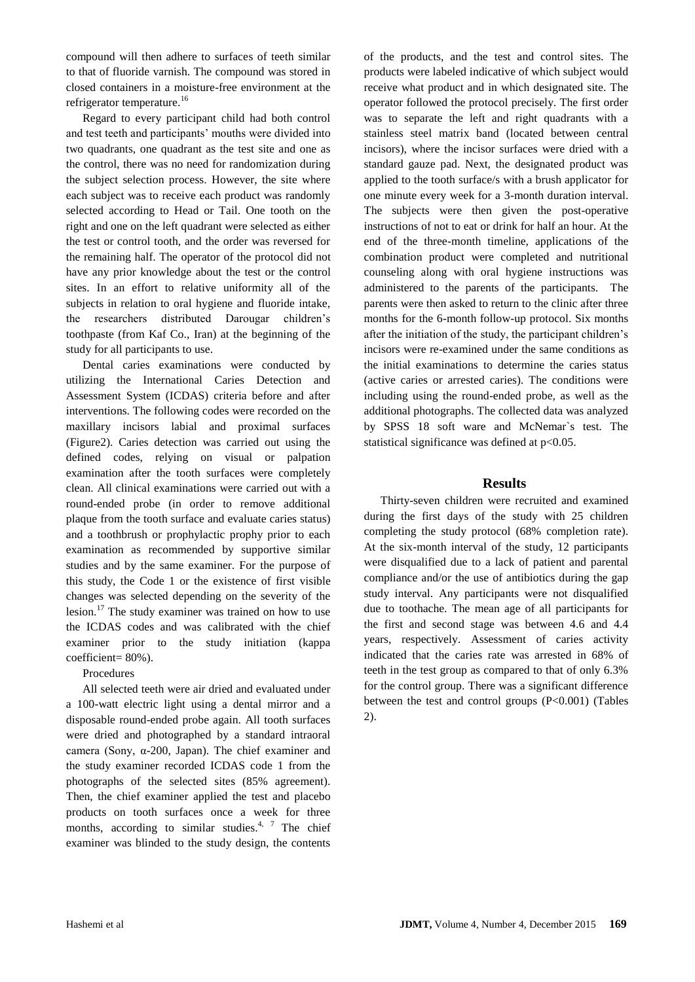compound will then adhere to surfaces of teeth similar to that of fluoride varnish. The compound was stored in closed containers in a moisture-free environment at the refrigerator temperature.<sup>16</sup>

Regard to every participant child had both control and test teeth and participants' mouths were divided into two quadrants, one quadrant as the test site and one as the control, there was no need for randomization during the subject selection process. However, the site where each subject was to receive each product was randomly selected according to Head or Tail. One tooth on the right and one on the left quadrant were selected as either the test or control tooth, and the order was reversed for the remaining half. The operator of the protocol did not have any prior knowledge about the test or the control sites. In an effort to relative uniformity all of the subjects in relation to oral hygiene and fluoride intake, the researchers distributed Darougar children's toothpaste (from Kaf Co., Iran) at the beginning of the study for all participants to use.

Dental caries examinations were conducted by utilizing the International Caries Detection and Assessment System (ICDAS) criteria before and after interventions. The following codes were recorded on the maxillary incisors labial and proximal surfaces (Figure2). Caries detection was carried out using the defined codes, relying on visual or palpation examination after the tooth surfaces were completely clean. All clinical examinations were carried out with a round-ended probe (in order to remove additional plaque from the tooth surface and evaluate caries status) and a toothbrush or prophylactic prophy prior to each examination as recommended by supportive similar studies and by the same examiner. For the purpose of this study, the Code 1 or the existence of first visible changes was selected depending on the severity of the lesion.<sup>17</sup> The study examiner was trained on how to use the ICDAS codes and was calibrated with the chief examiner prior to the study initiation (kappa coefficient= 80%).

## Procedures

All selected teeth were air dried and evaluated under a 100-watt electric light using a dental mirror and a disposable round-ended probe again. All tooth surfaces were dried and photographed by a standard intraoral camera (Sony, α-200, Japan). The chief examiner and the study examiner recorded ICDAS code 1 from the photographs of the selected sites (85% agreement). Then, the chief examiner applied the test and placebo products on tooth surfaces once a week for three months, according to similar studies. $4, 7$  The chief examiner was blinded to the study design, the contents

of the products, and the test and control sites. The products were labeled indicative of which subject would receive what product and in which designated site. The operator followed the protocol precisely. The first order was to separate the left and right quadrants with a stainless steel matrix band (located between central incisors), where the incisor surfaces were dried with a standard gauze pad. Next, the designated product was applied to the tooth surface/s with a brush applicator for one minute every week for a 3-month duration interval. The subjects were then given the post-operative instructions of not to eat or drink for half an hour. At the end of the three-month timeline, applications of the combination product were completed and nutritional counseling along with oral hygiene instructions was administered to the parents of the participants. The parents were then asked to return to the clinic after three months for the 6-month follow-up protocol. Six months after the initiation of the study, the participant children's incisors were re-examined under the same conditions as the initial examinations to determine the caries status (active caries or arrested caries). The conditions were including using the round-ended probe, as well as the additional photographs. The collected data was analyzed by SPSS 18 soft ware and McNemar`s test. The statistical significance was defined at  $p<0.05$ .

# **Results**

Thirty-seven children were recruited and examined during the first days of the study with 25 children completing the study protocol (68% completion rate). At the six-month interval of the study, 12 participants were disqualified due to a lack of patient and parental compliance and/or the use of antibiotics during the gap study interval. Any participants were not disqualified due to toothache. The mean age of all participants for the first and second stage was between 4.6 and 4.4 years, respectively. Assessment of caries activity indicated that the caries rate was arrested in 68% of teeth in the test group as compared to that of only 6.3% for the control group. There was a significant difference between the test and control groups (P<0.001) (Tables 2).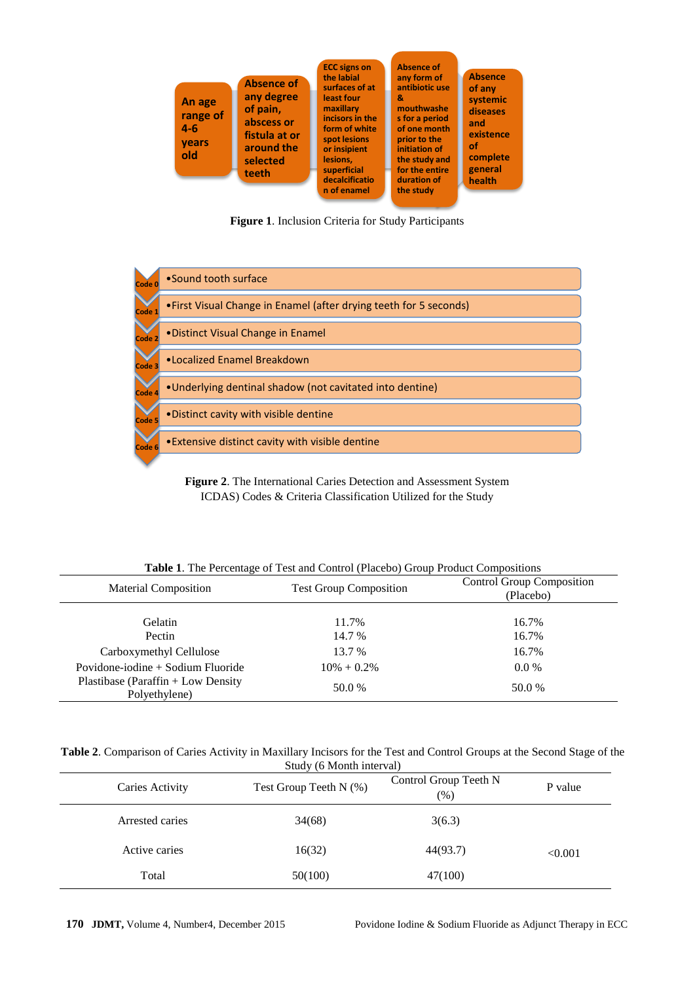

**Figure 1**. Inclusion Criteria for Study Participants



**Figure 2**. The International Caries Detection and Assessment System ICDAS) Codes & Criteria Classification Utilized for the Study

| <b>Material Composition</b>                         | <b>Test Group Composition</b> | <b>Control Group Composition</b><br>(Placebo) |
|-----------------------------------------------------|-------------------------------|-----------------------------------------------|
| Gelatin<br>Pectin                                   | 11.7%<br>14.7 %               | 16.7%<br>16.7%                                |
| Carboxymethyl Cellulose                             | 13.7 %                        | 16.7%                                         |
| Povidone-iodine $+$ Sodium Fluoride                 | $10\% + 0.2\%$                | $0.0\%$                                       |
| Plastibase (Paraffin + Low Density<br>Polyethylene) | 50.0 %                        | 50.0 %                                        |

**Table 1**. The Percentage of Test and Control (Placebo) Group Product Compositions

**Table 2**. Comparison of Caries Activity in Maxillary Incisors for the Test and Control Groups at the Second Stage of the Study (6 Month interval)

| Caries Activity | Test Group Teeth N (%) | Control Group Teeth N<br>$(\%)$ | P value |
|-----------------|------------------------|---------------------------------|---------|
| Arrested caries | 34(68)                 | 3(6.3)                          |         |
| Active caries   | 16(32)                 | 44(93.7)                        | < 0.001 |
| Total           | 50(100)                | 47(100)                         |         |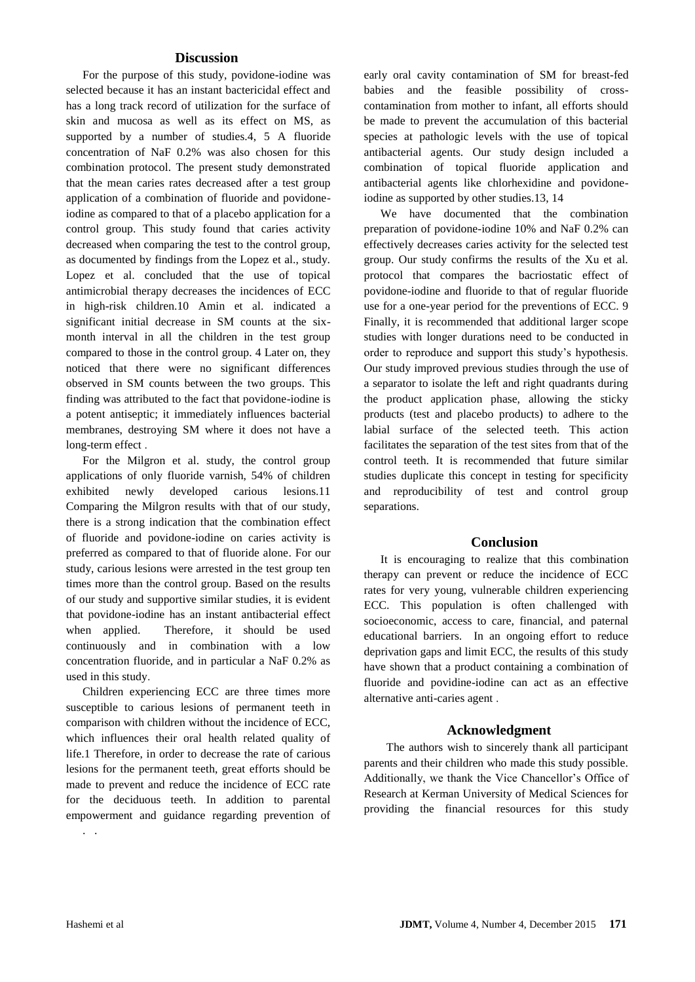# **Discussion**

For the purpose of this study, povidone-iodine was selected because it has an instant bactericidal effect and has a long track record of utilization for the surface of skin and mucosa as well as its effect on MS, as supported by a number of studies.4, 5 A fluoride concentration of NaF 0.2% was also chosen for this combination protocol. The present study demonstrated that the mean caries rates decreased after a test group application of a combination of fluoride and povidoneiodine as compared to that of a placebo application for a control group. This study found that caries activity decreased when comparing the test to the control group, as documented by findings from the Lopez et al., study. Lopez et al. concluded that the use of topical antimicrobial therapy decreases the incidences of ECC in high-risk children.10 Amin et al. indicated a significant initial decrease in SM counts at the sixmonth interval in all the children in the test group compared to those in the control group. 4 Later on, they noticed that there were no significant differences observed in SM counts between the two groups. This finding was attributed to the fact that povidone-iodine is a potent antiseptic; it immediately influences bacterial membranes, destroying SM where it does not have a long-term effect .

For the Milgron et al. study, the control group applications of only fluoride varnish, 54% of children exhibited newly developed carious lesions.11 Comparing the Milgron results with that of our study, there is a strong indication that the combination effect of fluoride and povidone-iodine on caries activity is preferred as compared to that of fluoride alone. For our study, carious lesions were arrested in the test group ten times more than the control group. Based on the results of our study and supportive similar studies, it is evident that povidone-iodine has an instant antibacterial effect when applied. Therefore, it should be used continuously and in combination with a low concentration fluoride, and in particular a NaF 0.2% as used in this study.

Children experiencing ECC are three times more susceptible to carious lesions of permanent teeth in comparison with children without the incidence of ECC, which influences their oral health related quality of life.1 Therefore, in order to decrease the rate of carious lesions for the permanent teeth, great efforts should be made to prevent and reduce the incidence of ECC rate for the deciduous teeth. In addition to parental empowerment and guidance regarding prevention of . .

early oral cavity contamination of SM for breast-fed babies and the feasible possibility of crosscontamination from mother to infant, all efforts should be made to prevent the accumulation of this bacterial species at pathologic levels with the use of topical antibacterial agents. Our study design included a combination of topical fluoride application and antibacterial agents like chlorhexidine and povidoneiodine as supported by other studies.13, 14

We have documented that the combination preparation of povidone-iodine 10% and NaF 0.2% can effectively decreases caries activity for the selected test group. Our study confirms the results of the Xu et al. protocol that compares the bacriostatic effect of povidone-iodine and fluoride to that of regular fluoride use for a one-year period for the preventions of ECC. 9 Finally, it is recommended that additional larger scope studies with longer durations need to be conducted in order to reproduce and support this study's hypothesis. Our study improved previous studies through the use of a separator to isolate the left and right quadrants during the product application phase, allowing the sticky products (test and placebo products) to adhere to the labial surface of the selected teeth. This action facilitates the separation of the test sites from that of the control teeth. It is recommended that future similar studies duplicate this concept in testing for specificity and reproducibility of test and control group separations.

## **Conclusion**

It is encouraging to realize that this combination therapy can prevent or reduce the incidence of ECC rates for very young, vulnerable children experiencing ECC. This population is often challenged with socioeconomic, access to care, financial, and paternal educational barriers. In an ongoing effort to reduce deprivation gaps and limit ECC, the results of this study have shown that a product containing a combination of fluoride and povidine-iodine can act as an effective alternative anti-caries agent .

# **Acknowledgment**

 The authors wish to sincerely thank all participant parents and their children who made this study possible. Additionally, we thank the Vice Chancellor's Office of Research at Kerman University of Medical Sciences for providing the financial resources for this study